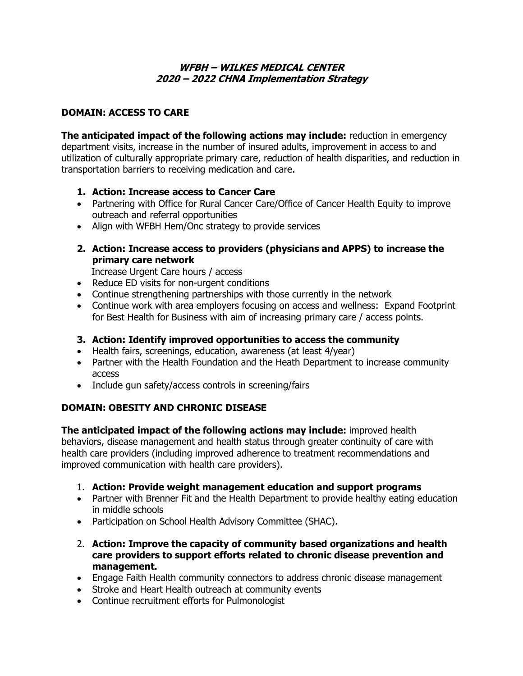### **WFBH – WILKES MEDICAL CENTER 2020 – 2022 CHNA Implementation Strategy**

### **DOMAIN: ACCESS TO CARE**

**The anticipated impact of the following actions may include:** reduction in emergency department visits, increase in the number of insured adults, improvement in access to and utilization of culturally appropriate primary care, reduction of health disparities, and reduction in transportation barriers to receiving medication and care.

- **1. Action: Increase access to Cancer Care**
- Partnering with Office for Rural Cancer Care/Office of Cancer Health Equity to improve outreach and referral opportunities
- Align with WFBH Hem/Onc strategy to provide services
- **2. Action: Increase access to providers (physicians and APPS) to increase the primary care network**

Increase Urgent Care hours / access

- Reduce ED visits for non-urgent conditions
- Continue strengthening partnerships with those currently in the network
- Continue work with area employers focusing on access and wellness: Expand Footprint for Best Health for Business with aim of increasing primary care / access points.

#### **3. Action: Identify improved opportunities to access the community**

- Health fairs, screenings, education, awareness (at least 4/year)
- Partner with the Health Foundation and the Heath Department to increase community access
- Include gun safety/access controls in screening/fairs

# **DOMAIN: OBESITY AND CHRONIC DISEASE**

**The anticipated impact of the following actions may include:** improved health behaviors, disease management and health status through greater continuity of care with health care providers (including improved adherence to treatment recommendations and improved communication with health care providers).

- 1. **Action: Provide weight management education and support programs**
- Partner with Brenner Fit and the Health Department to provide healthy eating education in middle schools
- Participation on School Health Advisory Committee (SHAC).
- 2. **Action: Improve the capacity of community based organizations and health care providers to support efforts related to chronic disease prevention and management.**
- Engage Faith Health community connectors to address chronic disease management
- Stroke and Heart Health outreach at community events
- Continue recruitment efforts for Pulmonologist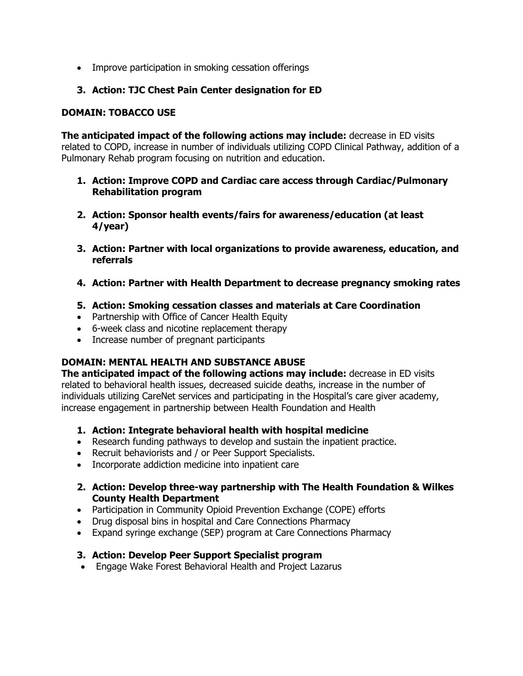• Improve participation in smoking cessation offerings

# **3. Action: TJC Chest Pain Center designation for ED**

#### **DOMAIN: TOBACCO USE**

**The anticipated impact of the following actions may include:** decrease in ED visits related to COPD, increase in number of individuals utilizing COPD Clinical Pathway, addition of a Pulmonary Rehab program focusing on nutrition and education.

- **1. Action: Improve COPD and Cardiac care access through Cardiac/Pulmonary Rehabilitation program**
- **2. Action: Sponsor health events/fairs for awareness/education (at least 4/year)**
- **3. Action: Partner with local organizations to provide awareness, education, and referrals**
- **4. Action: Partner with Health Department to decrease pregnancy smoking rates**
- **5. Action: Smoking cessation classes and materials at Care Coordination**
- Partnership with Office of Cancer Health Equity
- 6-week class and nicotine replacement therapy
- Increase number of pregnant participants

# **DOMAIN: MENTAL HEALTH AND SUBSTANCE ABUSE**

**The anticipated impact of the following actions may include:** decrease in ED visits related to behavioral health issues, decreased suicide deaths, increase in the number of individuals utilizing CareNet services and participating in the Hospital's care giver academy, increase engagement in partnership between Health Foundation and Health

- **1. Action: Integrate behavioral health with hospital medicine**
- Research funding pathways to develop and sustain the inpatient practice.
- Recruit behaviorists and / or Peer Support Specialists.
- Incorporate addiction medicine into inpatient care
- **2. Action: Develop three-way partnership with The Health Foundation & Wilkes County Health Department**
- Participation in Community Opioid Prevention Exchange (COPE) efforts
- Drug disposal bins in hospital and Care Connections Pharmacy
- Expand syringe exchange (SEP) program at Care Connections Pharmacy

#### **3. Action: Develop Peer Support Specialist program**

Engage Wake Forest Behavioral Health and Project Lazarus